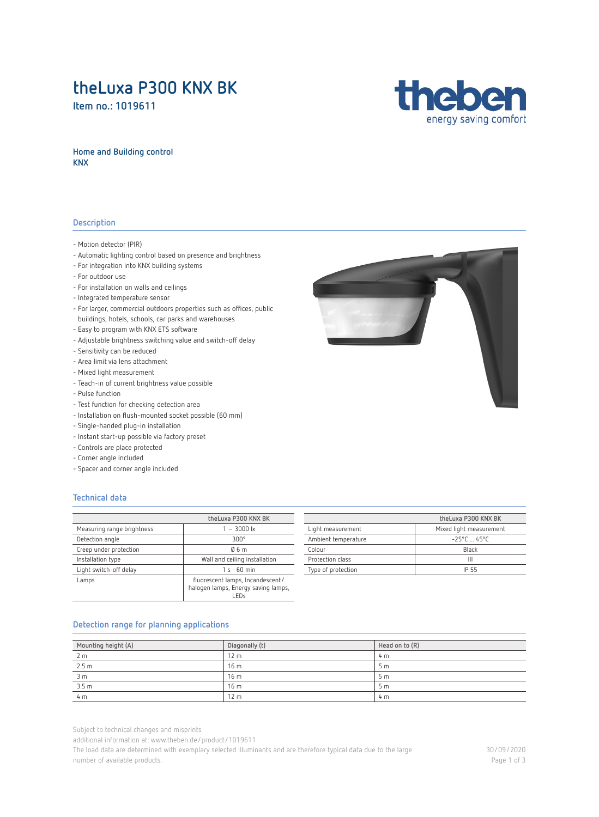## **theLuxa P300 KNX BK**

**Item no.: [1019611](https://www.theben.de/product/1019611)**



### **Home and Building control KNX**

### **Description**

- Motion detector (PIR)
- Automatic lighting control based on presence and brightness
- For integration into KNX building systems
- For outdoor use
- For installation on walls and ceilings
- Integrated temperature sensor
- For larger, commercial outdoors properties such as offices, public buildings, hotels, schools, car parks and warehouses
- Easy to program with KNX ETS software
- Adjustable brightness switching value and switch-off delay
- Sensitivity can be reduced
- Area limit via lens attachment
- Mixed light measurement
- Teach-in of current brightness value possible
- Pulse function
- Test function for checking detection area
- Installation on flush-mounted socket possible (60 mm)
- Single-handed plug-in installation
- Instant start-up possible via factory preset
- Controls are place protected
- Corner angle included
- Spacer and corner angle included

### **Technical data**

|                            | theLuxa P300 KNX BK                                                              |  |
|----------------------------|----------------------------------------------------------------------------------|--|
| Measuring range brightness | $-3000 \text{ lx}$                                                               |  |
| Detection angle            | $300^\circ$                                                                      |  |
| Creep under protection     | 06 m                                                                             |  |
| Installation type          | Wall and ceiling installation                                                    |  |
| Light switch-off delay     | $1 s - 60 min$                                                                   |  |
| Lamps                      | fluorescent lamps, Incandescent/<br>halogen lamps, Energy saving lamps,<br>- FDs |  |

|                     | theLuxa P300 KNX BK             |  |
|---------------------|---------------------------------|--|
| Light measurement   | Mixed light measurement         |  |
| Ambient temperature | $-25^{\circ}$ C $-45^{\circ}$ C |  |
| Colour              | Black                           |  |
| Profection class    | Ш                               |  |
| Type of protection  | IP 55                           |  |
|                     |                                 |  |

#### **Detection range for planning applications**

| Mounting height (A) | Diagonally (t)  | Head on to (R) |
|---------------------|-----------------|----------------|
| 2 <sub>m</sub>      | 12 <sub>m</sub> | 4 m            |
| 2.5 <sub>m</sub>    | 16 <sub>m</sub> | 5 <sub>m</sub> |
| 3 <sub>m</sub>      | 16 <sub>m</sub> | 5 <sub>m</sub> |
| 3.5 <sub>m</sub>    | 16 <sub>m</sub> | 5m             |
| 4 <sub>m</sub>      | 12 <sub>m</sub> | 4 m            |

Subject to technical changes and misprints

additional information at[: www.theben.de/product/1019611](https://www.theben.de/product/1019611)

The load data are determined with exemplary selected illuminants and are therefore typical data due to the large number of available products.

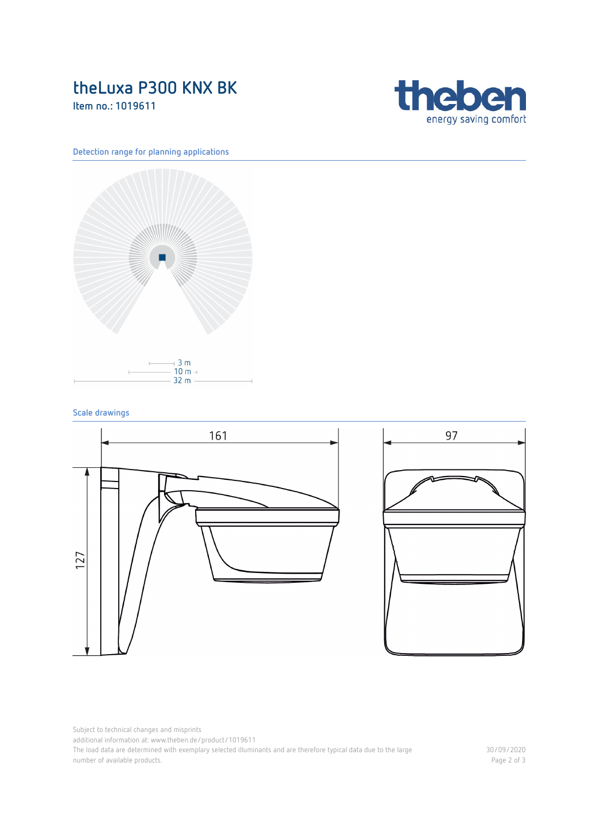# **theLuxa P300 KNX BK**

**Item no.: [1019611](https://www.theben.de/product/1019611)**



### **Detection range for planning applications**



### **Scale drawings**